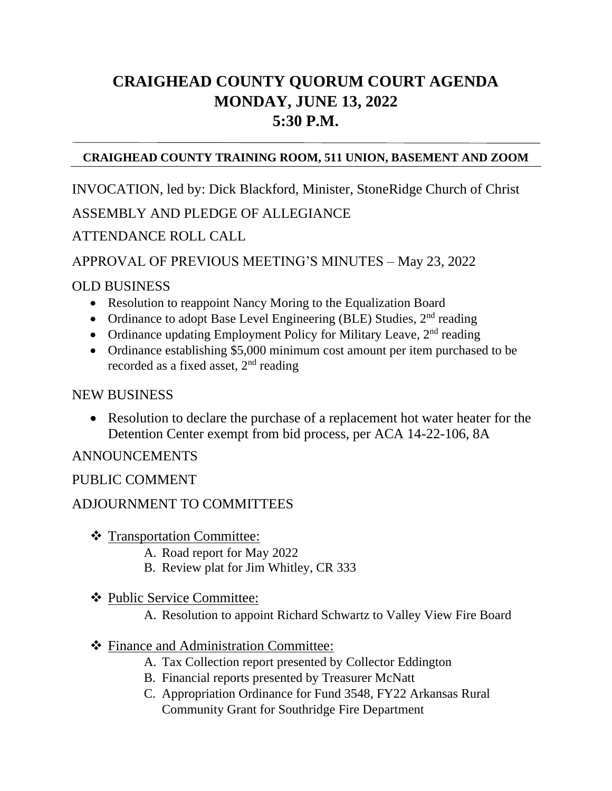# **CRAIGHEAD COUNTY QUORUM COURT AGENDA MONDAY, JUNE 13, 2022 5:30 P.M.**

#### **CRAIGHEAD COUNTY TRAINING ROOM, 511 UNION, BASEMENT AND ZOOM**

INVOCATION, led by: Dick Blackford, Minister, StoneRidge Church of Christ

## ASSEMBLY AND PLEDGE OF ALLEGIANCE

## ATTENDANCE ROLL CALL

#### APPROVAL OF PREVIOUS MEETING'S MINUTES – May 23, 2022

## OLD BUSINESS

- Resolution to reappoint Nancy Moring to the Equalization Board
- Ordinance to adopt Base Level Engineering (BLE) Studies,  $2<sup>nd</sup>$  reading
- Ordinance updating Employment Policy for Military Leave,  $2<sup>nd</sup>$  reading
- Ordinance establishing \$5,000 minimum cost amount per item purchased to be recorded as a fixed asset,  $2<sup>nd</sup>$  reading

#### NEW BUSINESS

• Resolution to declare the purchase of a replacement hot water heater for the Detention Center exempt from bid process, per ACA 14-22-106, 8A

ANNOUNCEMENTS 

## PUBLIC COMMENT

## ADJOURNMENT TO COMMITTEES

- ❖ Transportation Committee:
	- A. Road report for May 2022
	- B. Review plat for Jim Whitley, CR 333
- ❖ Public Service Committee:
	- A. Resolution to appoint Richard Schwartz to Valley View Fire Board
- ❖ Finance and Administration Committee:
	- A. Tax Collection report presented by Collector Eddington
	- B. Financial reports presented by Treasurer McNatt
	- C. Appropriation Ordinance for Fund 3548, FY22 Arkansas Rural Community Grant for Southridge Fire Department